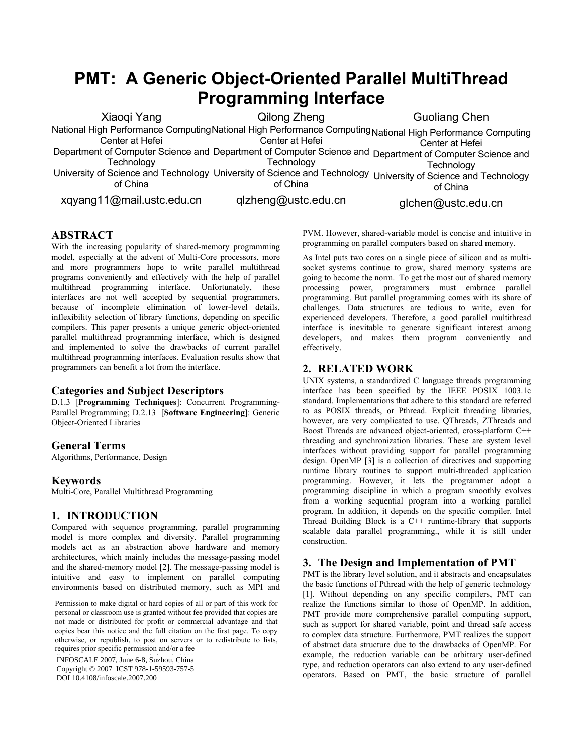# **PMT: A Generic Object-Oriented Parallel MultiThread Programming Interface**

Xiaoqi Yang National High Performance Computing National High Performance Computing National High Performance Computing Center at Hefei Department of Computer Science and Department of Computer Science and Department of Computer Science and **Technology** University of Science and Technology University of Science and Technology University of Science and Technology of China xqyang11@mail.ustc.edu.cn Qilong Zheng Center at Hefei **Technology** of China qlzheng@ustc.edu.cn Guoliang Chen Center at Hefei **Technology** of China glchen@ustc.edu.cn

# **ABSTRACT**

With the increasing popularity of shared-memory programming model, especially at the advent of Multi-Core processors, more and more programmers hope to write parallel multithread programs conveniently and effectively with the help of parallel multithread programming interface. Unfortunately, these interfaces are not well accepted by sequential programmers, because of incomplete elimination of lower-level details, inflexibility selection of library functions, depending on specific compilers. This paper presents a unique generic object-oriented parallel multithread programming interface, which is designed and implemented to solve the drawbacks of current parallel multithread programming interfaces. Evaluation results show that programmers can benefit a lot from the interface.

## **Categories and Subject Descriptors**

D.1.3 [**Programming Techniques**]: Concurrent Programming-Parallel Programming; D.2.13 [**Software Engineering**]: Generic Object-Oriented Libraries

## **General Terms**

Algorithms, Performance, Design

## **Keywords**

Multi-Core, Parallel Multithread Programming

## **1. INTRODUCTION**

Compared with sequence programming, parallel programming model is more complex and diversity. Parallel programming models act as an abstraction above hardware and memory architectures, which mainly includes the message-passing model and the shared-memory model [2]. The message-passing model is intuitive and easy to implement on parallel computing environments based on distributed memory, such as MPI and

Permission to make digital or hard copies of all or part of this work for personal or classroom use is granted without fee provided that copies are not made or distributed for profit or commercial advantage and that copies bear this notice and the full citation on the first page. To copy otherwise, or republish, to post on servers or to redistribute to lists, requires prior specific permission and/or a fee

INFOSCALE 2007, June 6-8, Suzhou, China Copyright © 2007 ICST 978-1-59593-757-5 DOI 10.4108/infoscale.2007.200 PVM. However, shared-variable model is concise and intuitive in programming on parallel computers based on shared memory.

As Intel puts two cores on a single piece of silicon and as multisocket systems continue to grow, shared memory systems are going to become the norm. To get the most out of shared memory processing power, programmers must embrace parallel programming. But parallel programming comes with its share of challenges. Data structures are tedious to write, even for experienced developers. Therefore, a good parallel multithread interface is inevitable to generate significant interest among developers, and makes them program conveniently and effectively.

## **2. RELATED WORK**

UNIX systems, a standardized C language threads programming interface has been specified by the IEEE POSIX 1003.1c standard. Implementations that adhere to this standard are referred to as POSIX threads, or Pthread. Explicit threading libraries, however, are very complicated to use. QThreads, ZThreads and Boost Threads are advanced object-oriented, cross-platform C++ threading and synchronization libraries. These are system level interfaces without providing support for parallel programming design. OpenMP [3] is a collection of directives and supporting runtime library routines to support multi-threaded application programming. However, it lets the programmer adopt a programming discipline in which a program smoothly evolves from a working sequential program into a working parallel program. In addition, it depends on the specific compiler. Intel Thread Building Block is a C++ runtime-library that supports scalable data parallel programming., while it is still under construction.

## **3. The Design and Implementation of PMT**

PMT is the library level solution, and it abstracts and encapsulates the basic functions of Pthread with the help of generic technology [1]. Without depending on any specific compilers, PMT can realize the functions similar to those of OpenMP. In addition, PMT provide more comprehensive parallel computing support, such as support for shared variable, point and thread safe access to complex data structure. Furthermore, PMT realizes the support of abstract data structure due to the drawbacks of OpenMP. For example, the reduction variable can be arbitrary user-defined type, and reduction operators can also extend to any user-defined operators. Based on PMT, the basic structure of parallel